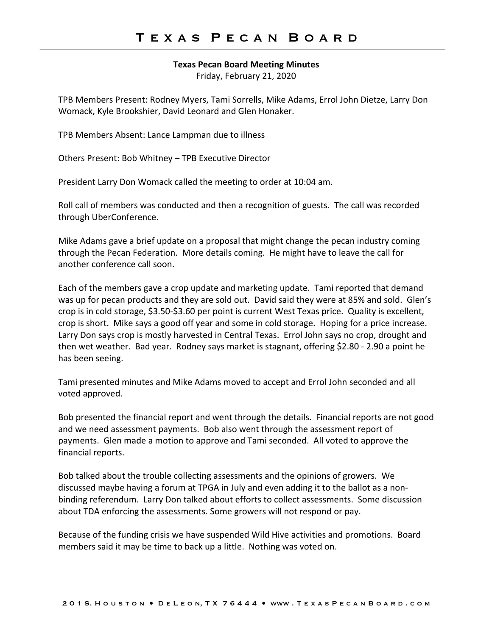## **Texas Pecan Board Meeting Minutes**

Friday, February 21, 2020

TPB Members Present: Rodney Myers, Tami Sorrells, Mike Adams, Errol John Dietze, Larry Don Womack, Kyle Brookshier, David Leonard and Glen Honaker.

TPB Members Absent: Lance Lampman due to illness

Others Present: Bob Whitney – TPB Executive Director

President Larry Don Womack called the meeting to order at 10:04 am.

Roll call of members was conducted and then a recognition of guests. The call was recorded through UberConference.

Mike Adams gave a brief update on a proposal that might change the pecan industry coming through the Pecan Federation. More details coming. He might have to leave the call for another conference call soon.

Each of the members gave a crop update and marketing update. Tami reported that demand was up for pecan products and they are sold out. David said they were at 85% and sold. Glen's crop is in cold storage, \$3.50-\$3.60 per point is current West Texas price. Quality is excellent, crop is short. Mike says a good off year and some in cold storage. Hoping for a price increase. Larry Don says crop is mostly harvested in Central Texas. Errol John says no crop, drought and then wet weather. Bad year. Rodney says market is stagnant, offering \$2.80 - 2.90 a point he has been seeing.

Tami presented minutes and Mike Adams moved to accept and Errol John seconded and all voted approved.

Bob presented the financial report and went through the details. Financial reports are not good and we need assessment payments. Bob also went through the assessment report of payments. Glen made a motion to approve and Tami seconded. All voted to approve the financial reports.

Bob talked about the trouble collecting assessments and the opinions of growers. We discussed maybe having a forum at TPGA in July and even adding it to the ballot as a nonbinding referendum. Larry Don talked about efforts to collect assessments. Some discussion about TDA enforcing the assessments. Some growers will not respond or pay.

Because of the funding crisis we have suspended Wild Hive activities and promotions. Board members said it may be time to back up a little. Nothing was voted on.